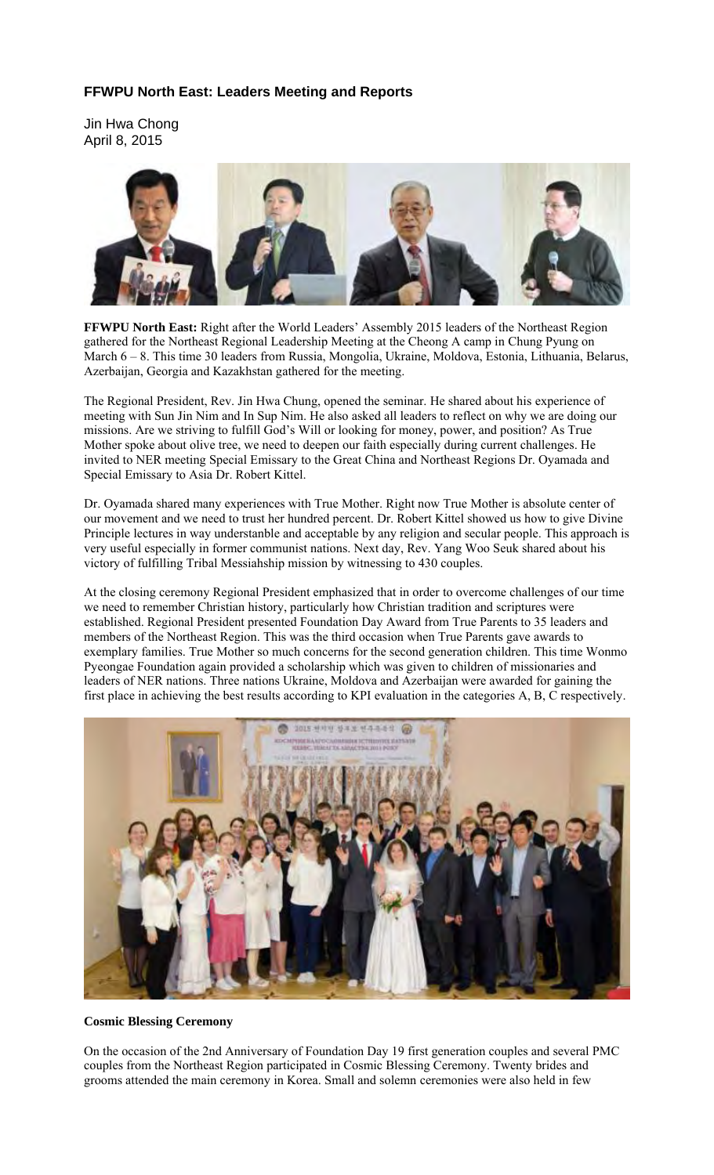# **FFWPU North East: Leaders Meeting and Reports**

Jin Hwa Chong April 8, 2015



**FFWPU North East:** Right after the World Leaders' Assembly 2015 leaders of the Northeast Region gathered for the Northeast Regional Leadership Meeting at the Cheong A camp in Chung Pyung on March 6 – 8. This time 30 leaders from Russia, Mongolia, Ukraine, Moldova, Estonia, Lithuania, Belarus, Azerbaijan, Georgia and Kazakhstan gathered for the meeting.

The Regional President, Rev. Jin Hwa Chung, opened the seminar. He shared about his experience of meeting with Sun Jin Nim and In Sup Nim. He also asked all leaders to reflect on why we are doing our missions. Are we striving to fulfill God's Will or looking for money, power, and position? As True Mother spoke about olive tree, we need to deepen our faith especially during current challenges. He invited to NER meeting Special Emissary to the Great China and Northeast Regions Dr. Oyamada and Special Emissary to Asia Dr. Robert Kittel.

Dr. Oyamada shared many experiences with True Mother. Right now True Mother is absolute center of our movement and we need to trust her hundred percent. Dr. Robert Kittel showed us how to give Divine Principle lectures in way understanble and acceptable by any religion and secular people. This approach is very useful especially in former communist nations. Next day, Rev. Yang Woo Seuk shared about his victory of fulfilling Tribal Messiahship mission by witnessing to 430 couples.

At the closing ceremony Regional President emphasized that in order to overcome challenges of our time we need to remember Christian history, particularly how Christian tradition and scriptures were established. Regional President presented Foundation Day Award from True Parents to 35 leaders and members of the Northeast Region. This was the third occasion when True Parents gave awards to exemplary families. True Mother so much concerns for the second generation children. This time Wonmo Pyeongae Foundation again provided a scholarship which was given to children of missionaries and leaders of NER nations. Three nations Ukraine, Moldova and Azerbaijan were awarded for gaining the first place in achieving the best results according to KPI evaluation in the categories A, B, C respectively.



**Cosmic Blessing Ceremony**

On the occasion of the 2nd Anniversary of Foundation Day 19 first generation couples and several PMC couples from the Northeast Region participated in Cosmic Blessing Ceremony. Twenty brides and grooms attended the main ceremony in Korea. Small and solemn ceremonies were also held in few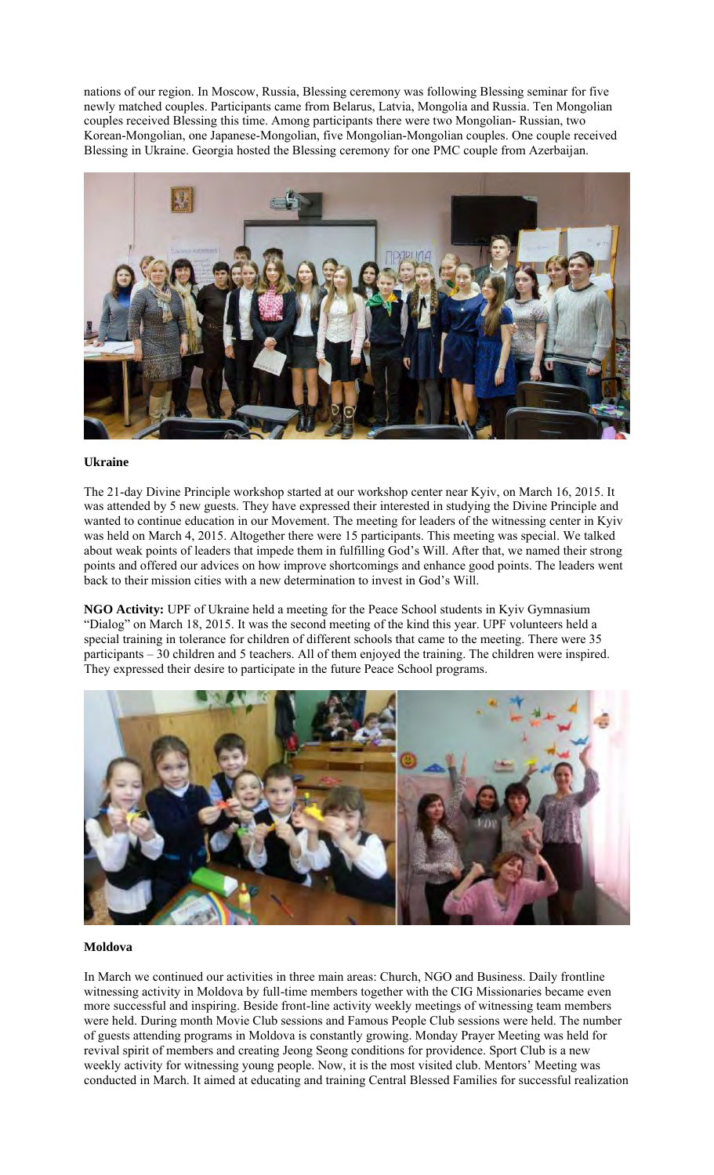nations of our region. In Moscow, Russia, Blessing ceremony was following Blessing seminar for five newly matched couples. Participants came from Belarus, Latvia, Mongolia and Russia. Ten Mongolian couples received Blessing this time. Among participants there were two Mongolian- Russian, two Korean-Mongolian, one Japanese-Mongolian, five Mongolian-Mongolian couples. One couple received Blessing in Ukraine. Georgia hosted the Blessing ceremony for one PMC couple from Azerbaijan.



## **Ukraine**

The 21-day Divine Principle workshop started at our workshop center near Kyiv, on March 16, 2015. It was attended by 5 new guests. They have expressed their interested in studying the Divine Principle and wanted to continue education in our Movement. The meeting for leaders of the witnessing center in Kyiv was held on March 4, 2015. Altogether there were 15 participants. This meeting was special. We talked about weak points of leaders that impede them in fulfilling God's Will. After that, we named their strong points and offered our advices on how improve shortcomings and enhance good points. The leaders went back to their mission cities with a new determination to invest in God's Will.

**NGO Activity:** UPF of Ukraine held a meeting for the Peace School students in Kyiv Gymnasium "Dialog" on March 18, 2015. It was the second meeting of the kind this year. UPF volunteers held a special training in tolerance for children of different schools that came to the meeting. There were 35 participants – 30 children and 5 teachers. All of them enjoyed the training. The children were inspired. They expressed their desire to participate in the future Peace School programs.



### **Moldova**

In March we continued our activities in three main areas: Church, NGO and Business. Daily frontline witnessing activity in Moldova by full-time members together with the CIG Missionaries became even more successful and inspiring. Beside front-line activity weekly meetings of witnessing team members were held. During month Movie Club sessions and Famous People Club sessions were held. The number of guests attending programs in Moldova is constantly growing. Monday Prayer Meeting was held for revival spirit of members and creating Jeong Seong conditions for providence. Sport Club is a new weekly activity for witnessing young people. Now, it is the most visited club. Mentors' Meeting was conducted in March. It aimed at educating and training Central Blessed Families for successful realization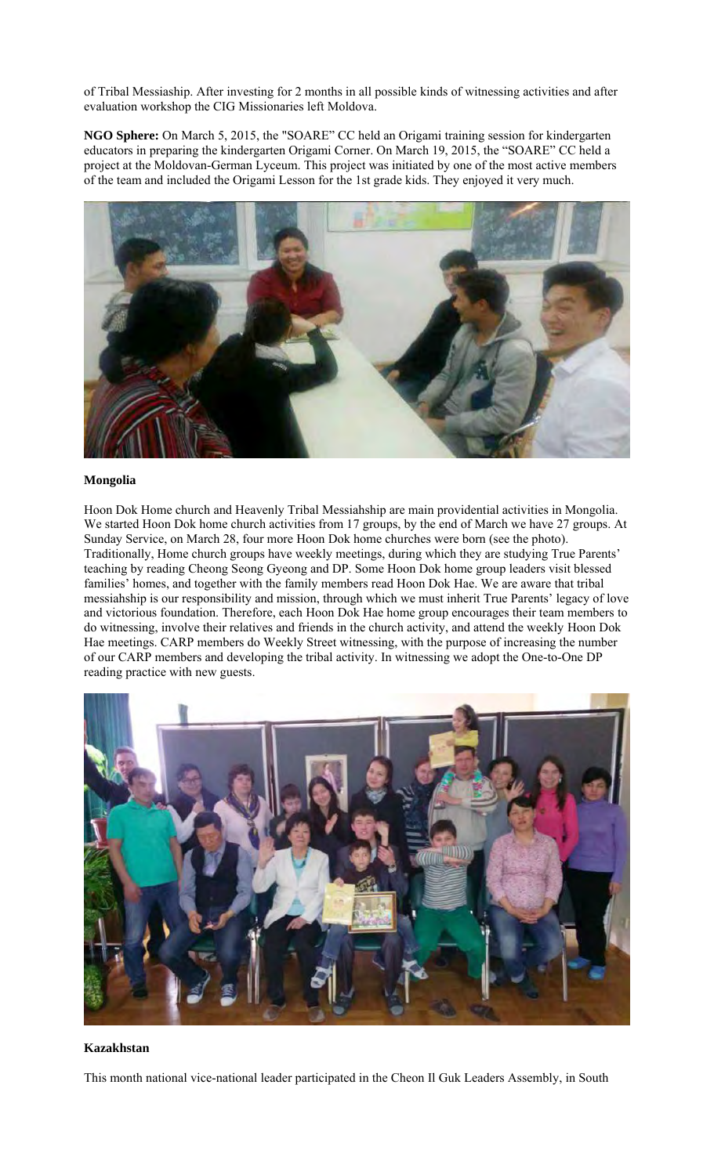of Tribal Messiaship. After investing for 2 months in all possible kinds of witnessing activities and after evaluation workshop the CIG Missionaries left Moldova.

**NGO Sphere:** On March 5, 2015, the "SOARE" CC held an Origami training session for kindergarten educators in preparing the kindergarten Origami Corner. On March 19, 2015, the "SOARE" CC held a project at the Moldovan-German Lyceum. This project was initiated by one of the most active members of the team and included the Origami Lesson for the 1st grade kids. They enjoyed it very much.



### **Mongolia**

Hoon Dok Home church and Heavenly Tribal Messiahship are main providential activities in Mongolia. We started Hoon Dok home church activities from 17 groups, by the end of March we have 27 groups. At Sunday Service, on March 28, four more Hoon Dok home churches were born (see the photo). Traditionally, Home church groups have weekly meetings, during which they are studying True Parents' teaching by reading Cheong Seong Gyeong and DP. Some Hoon Dok home group leaders visit blessed families' homes, and together with the family members read Hoon Dok Hae. We are aware that tribal messiahship is our responsibility and mission, through which we must inherit True Parents' legacy of love and victorious foundation. Therefore, each Hoon Dok Hae home group encourages their team members to do witnessing, involve their relatives and friends in the church activity, and attend the weekly Hoon Dok Hae meetings. CARP members do Weekly Street witnessing, with the purpose of increasing the number of our CARP members and developing the tribal activity. In witnessing we adopt the One-to-One DP reading practice with new guests.



### **Kazakhstan**

This month national vice-national leader participated in the Cheon Il Guk Leaders Assembly, in South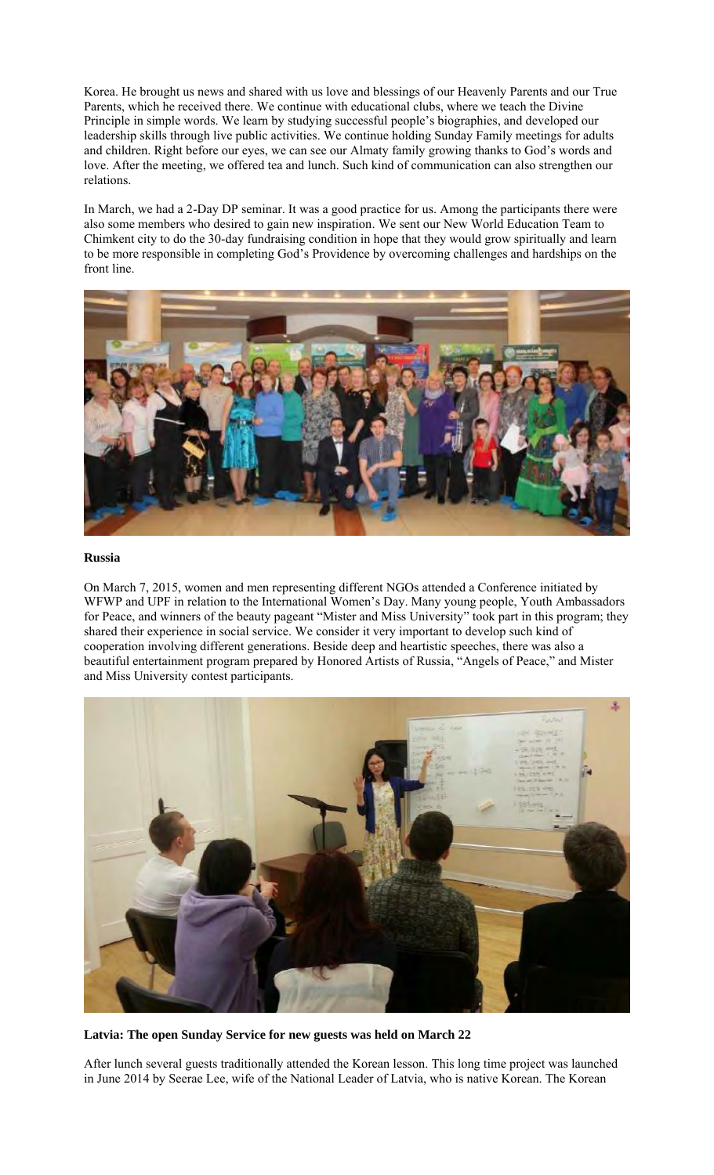Korea. He brought us news and shared with us love and blessings of our Heavenly Parents and our True Parents, which he received there. We continue with educational clubs, where we teach the Divine Principle in simple words. We learn by studying successful people's biographies, and developed our leadership skills through live public activities. We continue holding Sunday Family meetings for adults and children. Right before our eyes, we can see our Almaty family growing thanks to God's words and love. After the meeting, we offered tea and lunch. Such kind of communication can also strengthen our relations.

In March, we had a 2-Day DP seminar. It was a good practice for us. Among the participants there were also some members who desired to gain new inspiration. We sent our New World Education Team to Chimkent city to do the 30-day fundraising condition in hope that they would grow spiritually and learn to be more responsible in completing God's Providence by overcoming challenges and hardships on the front line.



### **Russia**

On March 7, 2015, women and men representing different NGOs attended a Conference initiated by WFWP and UPF in relation to the International Women's Day. Many young people, Youth Ambassadors for Peace, and winners of the beauty pageant "Mister and Miss University" took part in this program; they shared their experience in social service. We consider it very important to develop such kind of cooperation involving different generations. Beside deep and heartistic speeches, there was also a beautiful entertainment program prepared by Honored Artists of Russia, "Angels of Peace," and Mister and Miss University contest participants.



**Latvia: The open Sunday Service for new guests was held on March 22**

After lunch several guests traditionally attended the Korean lesson. This long time project was launched in June 2014 by Seerae Lee, wife of the National Leader of Latvia, who is native Korean. The Korean